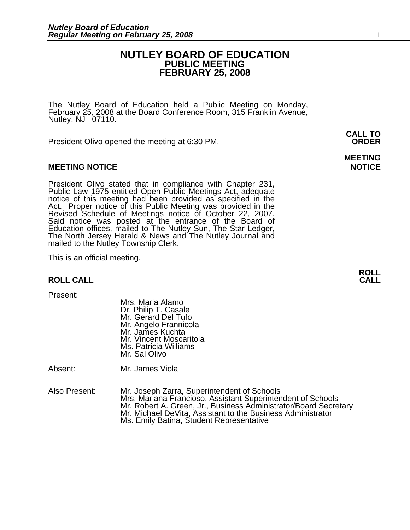#### **NUTLEY BOARD OF EDUCATION PUBLIC MEETING FEBRUARY 25, 2008**

The Nutley Board of Education held a Public Meeting on Monday, February 25, 2008 at the Board Conference Room, 315 Franklin Avenue, Nutley, NJ 07110.

President Olivo opened the meeting at 6:30 PM. **ORDER**

#### **MEETING NOTICE NOTICE REPORTS AND RESIDENT ASSAULT ASSAULT AND REPORT OF A SECOND PROPERTY OF A SECOND PROPERTY**

President Olivo stated that in compliance with Chapter 231, Public Law 1975 entitled Open Public Meetings Act, adequate notice of this meeting had been provided as specified in the Act. Proper notice of this Public Meeting Said notice was posted at the entrance of the Board of Education offices, mailed to The Nutley Sun, The Star Ledger,<br>The North Jersey Herald & News and The Nutley Journal and<br>mailed to the Nutley Township Clerk.

This is an official meeting.

#### **ROLL CALL**

Present:

 Mrs. Maria Alamo Dr. Philip T. Casale Mr. Gerard Del Tufo Mr. Angelo Frannicola Mr. James Kuchta Mr. Vincent Moscaritola Ms. Patricia Williams Mr. Sal Olivo

Absent: Mr. James Viola

Also Present: Mr. Joseph Zarra, Superintendent of Schools<br>Mrs. Mariana Francioso, Assistant Superintendent of Schools Mr. Robert A. Green, Jr., Business Administrator/Board Secretary Mr. Michael DeVita, Assistant to the Business Administrator<br>Ms. Emily Batina, Student Representative

**MEETING** 

**CALL TO**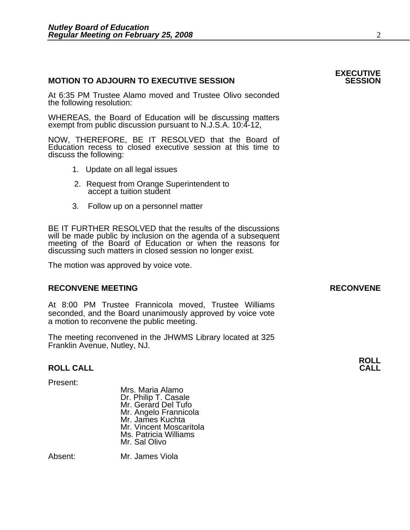#### **MOTION TO ADJOURN TO EXECUTIVE SESSION**

At 6:35 PM Trustee Alamo moved and Trustee Olivo seconded the following resolution:

WHEREAS, the Board of Education will be discussing matters exempt from public discussion pursuant to N.J.S.A. 10:4-12,

NOW, THEREFORE, BE IT RESOLVED that the Board of Education recess to closed executive session at this time to discuss the following:

- 
- 1. Update on all legal issues<br>2. Request from Orange Superintendent to accept a tuition student
- 3. Follow up on a personnel matter

BE IT FURTHER RESOLVED that the results of the discussions will be made public by inclusion on the agenda of a subsequent meeting of the Board of Education or when the reasons for discussing such matters in closed session no longer exist.

 The motion was approved by voice vote.

#### **RECONVENE MEETING RECONVENE**

At 8:00 PM Trustee Frannicola moved, Trustee Williams seconded, and the Board unanimously approved by voice vote a motion to reconvene the public meeting.

The meeting reconvened in the JHWMS Library located at 325 Franklin Avenue, Nutley, NJ.

#### **ROLL CALL**

Present:

Mrs. Maria Alamo Dr. Philip T. Casale Mr. Gerard Del Tufo Mr. Angelo Frannicola Mr. James Kuchta Mr. Vincent Moscaritola Ms. Patricia Williams Mr. Sal Olivo

Absent: Mr. James Viola

**ROLL**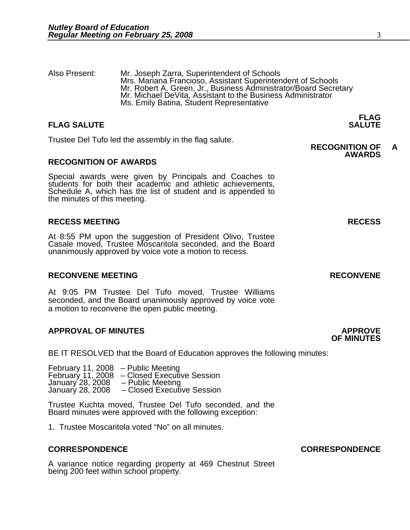Also Present: Mr. Joseph Zarra, Superintendent of Schools Mrs. Mariana Francioso, Assistant Superintendent of Schools Mr. Robert A. Green, Jr., Business Administrator/Board Secretary Mr. Michael DeVita, Assistant to the Business Administrator Ms. Emily Batina, Student Representative

#### **FLAG FLAG SALUTE SALUTE SALUTE**

Trustee Del Tufo led the assembly in the flag salute. **RECOGNITION OF A** 

#### **RECOGNITION OF AWARDS**

Special awards were given by Principals and Coaches to students for both their academic and athletic achievements, Schedule A, which has the list of student and is appended to the minutes of this meeting.

#### **RECESS MEETING RECESS**

At 8:55 PM upon the suggestion of President Olivo, Trustee Casale moved, Trustee Moscaritola seconded, and the Board unanimously approved by voice vote a motion to recess.

#### **RECONVENE MEETING RECONVENE**

At 9:05 PM Trustee Del Tufo moved, Trustee Williams seconded, and the Board unanimously approved by voice vote a motion to reconvene the open public meeting.

#### **APPROVAL OF MINUTES APPROVE**

BE IT RESOLVED that the Board of Education approves the following minutes:

 February 11, 2008 – Public Meeting February 11, 2008 – Closed Executive Session January 28, 2008 – Public Meeting January 28, 2008 – Closed Executive Session

> Trustee Kuchta moved, Trustee Del Tufo seconded, and the Board minutes were approved with the following exception:

1. Trustee Moscaritola voted "No" on all minutes.

#### **CORRESPONDENCE CORRESPONDENCE**

A variance notice regarding property at 469 Chestnut Street being 200 feet within school property.

## **OF MINUTES**

**AWARDS**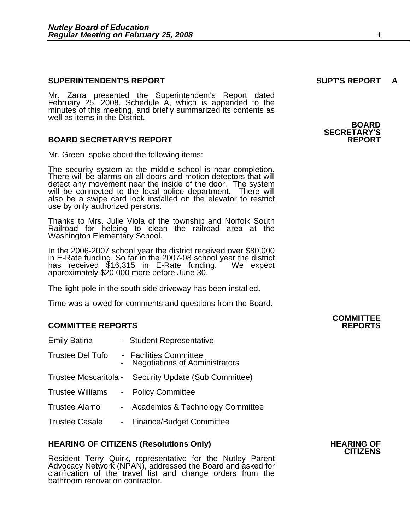#### **SUPERINTENDENT'S REPORT SUPT'S REPORT A**

Mr. Zarra presented the Superintendent's Report dated February 25, 2008, Schedule A, which is appended to the minutes of this meeting, and briefly summarized its contents as well as items in the District.

#### **BOARD SECRETARY'S REPORT**

Mr. Green spoke about the following items:

The security system at the middle school is near completion. There will be alarms on all doors and motion detectors that will detect any movement near the inside of the door. The system will be connected to the local police department. There will also be a swipe card lock installed on the elevator to restrict use by only authorized persons.

Thanks to Mrs. Julie Viola of the township and Norfolk South Railroad for helping to clean the railroad area at the Washington Elementary School.

In the 2006-2007 school year the district received over \$80,000 in E-Rate funding. So far in the 2007-08 school year the district has received \$16,315 in E-Rate funding. We expect approximately \$20,000 more before June 30.

The light pole in the south side driveway has been installed.

Time was allowed for comments and questions from the Board.

#### **COMMITTEE REPORTS REPORTS**

| <b>Emily Batina</b>     | - Student Representative                                        |
|-------------------------|-----------------------------------------------------------------|
| <b>Trustee Del Tufo</b> | - Facilities Committee<br><b>Negotiations of Administrators</b> |
|                         | Trustee Moscaritola - Security Update (Sub Committee)           |
| Trustee Williams        | - Policy Committee                                              |
| Trustee Alamo           | - Academics & Technology Committee                              |
| <b>Trustee Casale</b>   | - Finance/Budget Committee                                      |
|                         |                                                                 |

## **HEARING OF CITIZENS (Resolutions Only) HEARING OF CITIZENS**

Resident Terry Quirk, representative for the Nutley Parent<br>Advocacy Network (NPAN), addressed the Board and asked for clarification of the travel list and change orders from the<br>bathroom renovation contractor.

**BOARD SECRETARY'S** 

# **COMMITTEE**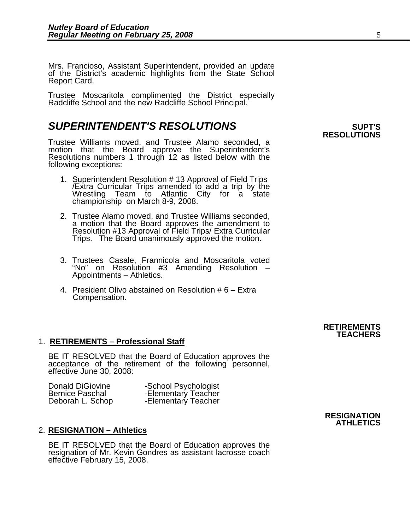Mrs. Francioso, Assistant Superintendent, provided an update of the District's academic highlights from the State School Report Card.

Trustee Moscaritola complimented the District especially Radcliffe School and the new Radcliffe School Principal.

### **SUPERINTENDENT'S RESOLUTIONS**  PARTICLE SUPT'S

Trustee Williams moved, and Trustee Alamo seconded, a motion that the Board approve the Superintendent's Resolutions numbers 1 through 12 as listed below with the following exceptions:

- 1. Superintendent Resolution # 13 Approval of Field Trips /Extra Curricular Trips amended to add a trip by the Wrestling Team to Atlantic City for a state championship on March 8-9, 2008.
- 2. Trustee Alamo moved, and Trustee Williams seconded, a motion that the Board approves the amendment to Resolution #13 Approval of Field Trips/ Extra Curricular<br>Trips. The Board unanimously approved the motion.
- 3. Trustees Casale, Frannicola and Moscaritola voted "No" on Resolution #3 Amending Resolution –<br>Appointments – Athletics.
- 4. President Olivo abstained on Resolution # 6 Extra Compensation.

# **RESOLUTIONS**

#### **RETIREMENTS TEACHERS**

#### 1. **RETIREMENTS – Professional Staff**

BE IT RESOLVED that the Board of Education approves the acceptance of the retirement of the following personnel, effective June 30, 2008:

| <b>Donald DiGiovine</b> | -School Psychologist |
|-------------------------|----------------------|
| <b>Bernice Paschal</b>  | -Elementary Teacher  |
| Deborah L. Schop        | -Elementary Teacher  |

#### 2. **RESIGNATION – Athletics**

BE IT RESOLVED that the Board of Education approves the resignation of Mr. Kevin Gondres as assistant lacrosse coach effective February 15, 2008.

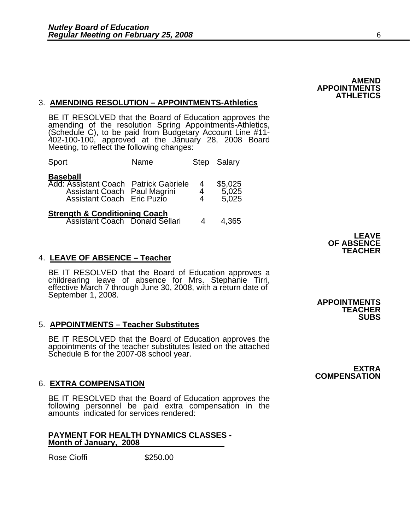#### **AMEND APPOINTMENTS ATHLETICS**

#### 3. **AMENDING RESOLUTION – APPOINTMENTS-Athletics**

BE IT RESOLVED that the Board of Education approves the amending of the resolution Spring Appointments-Athletics, (Schedule C), to be paid from Budgetary Account Line #11-402-100-100, approved at the January 28, 2008 Board

| Sport                                                                                                                  | Name |        | Step Salary                   |
|------------------------------------------------------------------------------------------------------------------------|------|--------|-------------------------------|
| <b>Baseball</b><br>Add: Assistant Coach Patrick Gabriele<br>Assistant Coach Paul Magrini<br>Assistant Coach Eric Puzio |      | 4<br>4 | \$5,025<br>$5,025$<br>$5,025$ |
| <b>Strength &amp; Conditioning Coach</b><br>Assistant Coach Donald Sellari                                             |      |        | 4,365                         |

#### 4. **LEAVE OF ABSENCE – Teacher**

BE IT RESOLVED that the Board of Education approves a childrearing leave of absence for Mrs. Stephanie Tirri, effective March 7 through June 30, 2008, with a return date of September 1, 2008. September 1, 2008. **APPOINTMENTS** 

#### 5. **APPOINTMENTS – Teacher Substitutes**

BE IT RESOLVED that the Board of Education approves the appointments of the teacher substitutes listed on the attached Schedule B for the 2007-08 school year.

#### 6. **EXTRA COMPENSATION**

BE IT RESOLVED that the Board of Education approves the following personnel be paid extra compensation in the amounts indicated for services rendered:

#### **PAYMENT FOR HEALTH DYNAMICS CLASSES - Month of January, 2008**

Rose Cioffi **\$250.00** 

**LEAVE OF ABSENCE TEACHER** 

**TEACHER SUBS** 

**EXTRA COMPENSATION**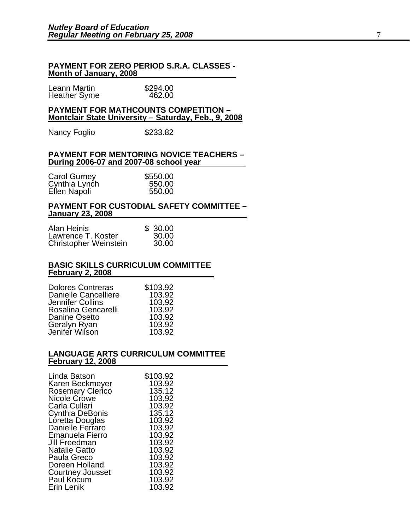#### **PAYMENT FOR ZERO PERIOD S.R.A. CLASSES - Month of January, 2008**

| Leann Martin        | \$294.00 |
|---------------------|----------|
| <b>Heather Syme</b> | 462.00   |

#### **PAYMENT FOR MATHCOUNTS COMPETITION – Montclair State University – Saturday, Feb., 9, 2008**

Nancy Foglio \$233.82

#### **PAYMENT FOR MENTORING NOVICE TEACHERS – During 2006-07 and 2007-08 school year**

| <b>Carol Gurney</b> | \$550.00 |
|---------------------|----------|
| Cynthia Lynch       | 550.00   |
| Ellen Napoli        | 550.00   |

#### **PAYMENT FOR CUSTODIAL SAFETY COMMITTEE – January 23, 2008**

| Alan Heinis                  | \$30.00 |  |
|------------------------------|---------|--|
| Lawrence T. Koster           | 30.00   |  |
| <b>Christopher Weinstein</b> | 30.00   |  |

#### **BASIC SKILLS CURRICULUM COMMITTEE February 2, 2008**

| <b>Dolores Contreras</b>       | \$103.92         |
|--------------------------------|------------------|
| Danielle Cancelliere           | 103.92           |
| <b>Jennifer Collins</b>        | 103.92           |
| Rosalina Gencarelli            | 103.92           |
| Danine Osetto                  | 103.92           |
| Geralyn Ryan<br>Jenifer Wilson | 103.92<br>103.92 |

#### **LANGUAGE ARTS CURRICULUM COMMITTEE February 12, 2008**

| Linda Batson                        | \$103.92 |
|-------------------------------------|----------|
|                                     |          |
| Karen Beckmeyer<br>Rosemary Clerico | 103.92   |
|                                     | 135.12   |
| Nicole Crowe                        | 103.92   |
| Carla Cullari                       | 103.92   |
| Cynthia DeBonis                     | 135.12   |
| Loretta Douglas                     | 103.92   |
| Danielle Ferraro                    | 103.92   |
| <b>Emanuela Fierro</b>              | 103.92   |
| Jill Freedman                       | 103.92   |
| <b>Natalie Gatto</b>                | 103.92   |
| Paula Greco                         | 103.92   |
| Doreen Holland                      | 103.92   |
| <b>Courtney Jousset</b>             | 103.92   |
| Paul Kocum                          | 103.92   |
| Erin Lenik                          | 103.92   |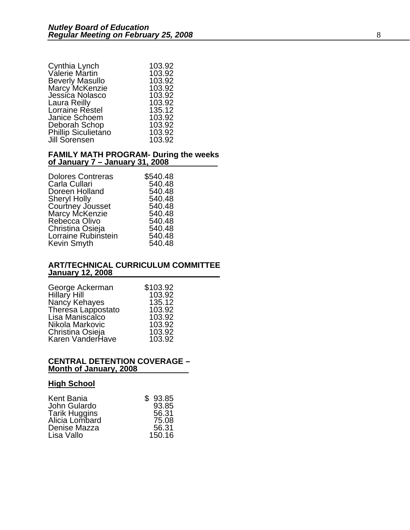| 103.92 |
|--------|
| 103.92 |
| 103.92 |
| 103.92 |
| 103.92 |
| 135.12 |
| 103.92 |
| 103.92 |
| 103.92 |
| 103.92 |
|        |

#### **FAMILY MATH PROGRAM- During the weeks of January 7 – January 31, 2008**

| \$540.48 |
|----------|
| 540.48   |
| 540.48   |
| 540.48   |
| 540.48   |
| 540.48   |
| 540.48   |
| 540.48   |
| 540.48   |
| 540.48   |
|          |

#### **ART/TECHNICAL CURRICULUM COMMITTEE January 12, 2008**

| George Ackerman    | \$103.92 |
|--------------------|----------|
| Hillary Hill       | 103.92   |
| Nancy Kehayes      | 135.12   |
| Theresa Lappostato | 103.92   |
| Lisa Maniscalco    | 103.92   |
| Nikola Markovic    | 103.92   |
| Christina Osieja   | 103.92   |
| Karen VanderHave   | 103.92   |

#### **CENTRAL DETENTION COVERAGE – Month of January, 2008**

#### **High School**

| Kent Bania           | \$93.85 |
|----------------------|---------|
| John Gulardo         | 93.85   |
| <b>Tarik Huggins</b> | 56.31   |
| Alicia Lombard       | 75.08   |
| Denise Mazza         | 56.31   |
| Lisa Vallo           | 150.16  |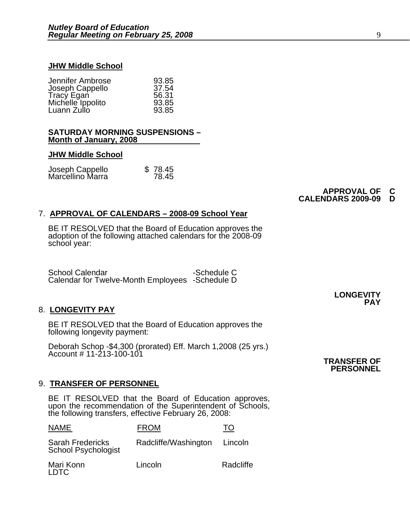#### **JHW Middle School**

| Jennifer Ambrose                 | 93.85 |
|----------------------------------|-------|
| Joseph Cappello                  | 37.54 |
| Tracy Egan                       | 56.31 |
| Michelle Ippolito<br>Luann Zullo | 93.85 |
|                                  | 93.85 |

#### **SATURDAY MORNING SUSPENSIONS – Month of January, 2008**

#### **JHW Middle School**

| Joseph Cappello<br>Marcellino Marra | \$78.45 |
|-------------------------------------|---------|
|                                     | 78.45   |

#### **APPROVAL OF C CALENDARS 2009-09**

#### 7. **APPROVAL OF CALENDARS – 2008-09 School Year**

BE IT RESOLVED that the Board of Education approves the adoption of the following attached calendars for the 2008-09 school year:

School Calendar -Schedule C Calendar for Twelve-Month Employees -Schedule D

#### 8. **LONGEVITY PAY**

BE IT RESOLVED that the Board of Education approves the following longevity payment:

Deborah Schop -\$4,300 (prorated) Eff. March 1,2008 (25 yrs.)<br>Account # 11-213-100-101

#### 9. **TRANSFER OF PERSONNEL**

BE IT RESOLVED that the Board of Education approves, upon the recommendation of the Superintendent of Schools, the following transfers, effective February 26, 2008:

| NAME                                                  | <b>FROM</b>          |           |
|-------------------------------------------------------|----------------------|-----------|
| <b>Sarah Fredericks</b><br><b>School Psychologist</b> | Radcliffe/Washington | Lincoln   |
| Mari Konn<br>T DTC                                    | Lincoln              | Radcliffe |

**LONGEVITY PAY**

**TRANSFER OF PERSONNEL**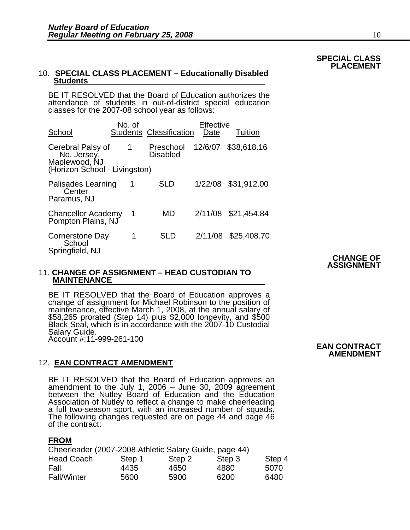#### 10. **SPECIAL CLASS PLACEMENT – Educationally Disabled Students**

BE IT RESOLVED that the Board of Education authorizes the attendance of students in out-of-district special education classes for the 2007-08 school year as follows:

| School                                                                             | No. of         | <b>Students Classification</b> | Effective<br>Date | Tuition     |                  |
|------------------------------------------------------------------------------------|----------------|--------------------------------|-------------------|-------------|------------------|
| Cerebral Palsy of<br>No. Jersey,<br>Maplewood, NJ<br>(Horizon School - Livingston) | $\mathbf 1$    | Preschool<br><b>Disabled</b>   | 12/6/07           | \$38,618.16 |                  |
| Palisades Learning<br>Center<br>Paramus, NJ                                        | 1              | <b>SLD</b>                     | 1/22/08           | \$31,912.00 |                  |
| <b>Chancellor Academy</b><br>Pompton Plains, NJ                                    | $\overline{1}$ | MD                             | 2/11/08           | \$21,454.84 |                  |
| Cornerstone Day<br>School<br>Springfield, NJ                                       | 1              | <b>SLD</b>                     | 2/11/08           | \$25,408.70 | <b>CHANGE OF</b> |

#### 11. **CHANGE OF ASSIGNMENT – HEAD CUSTODIAN TO MAINTENANCE**

 BE IT RESOLVED that the Board of Education approves a change of assignment for Michael Robinson to the position of maintenance, effective March 1, 2008, at the annual salary of \$58,265 prorated (Step 14) plus \$2,000 longev Salary Guide. Account #:11-999-261-100

#### 12. **EAN CONTRACT AMENDMENT**

BE IT RESOLVED that the Board of Education approves an amendment to the July 1, 2006 – June 30, 2009 agreement between the Nutley Board of Education and the Education Association of Nutley to reflect a change to make cheer a full two-season sport, with an increased number of squads.<br>The following changes requested are on page 44 and page 46 of the contract:

#### **FROM**

| Cheerleader (2007-2008 Athletic Salary Guide, page 44) |        |        |        |        |
|--------------------------------------------------------|--------|--------|--------|--------|
| <b>Head Coach</b>                                      | Step 1 | Step 2 | Step 3 | Step 4 |
| Fall                                                   | 4435   | 4650   | 4880   | 5070   |
| <b>Fall/Winter</b>                                     | 5600   | 5900   | 6200   | 6480   |

 **EAN CONTRACT AMENDMENT**

**ASSIGNMENT**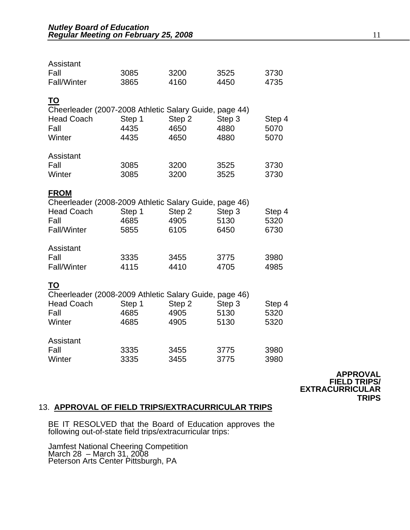| Assistant<br>Fall<br>Fall/Winter                                                                                         | 3085<br>3865           | 3200<br>4160           | 3525<br>4450           | 3730<br>4735           |
|--------------------------------------------------------------------------------------------------------------------------|------------------------|------------------------|------------------------|------------------------|
| <u>TO</u><br>Cheerleader (2007-2008 Athletic Salary Guide, page 44)<br><b>Head Coach</b><br>Fall<br>Winter               | Step 1<br>4435<br>4435 | Step 2<br>4650<br>4650 | Step 3<br>4880<br>4880 | Step 4<br>5070<br>5070 |
| Assistant<br>Fall<br>Winter                                                                                              | 3085<br>3085           | 3200<br>3200           | 3525<br>3525           | 3730<br>3730           |
| <b>FROM</b><br>Cheerleader (2008-2009 Athletic Salary Guide, page 46)<br><b>Head Coach</b><br>Fall<br><b>Fall/Winter</b> | Step 1<br>4685<br>5855 | Step 2<br>4905<br>6105 | Step 3<br>5130<br>6450 | Step 4<br>5320<br>6730 |
| Assistant<br>Fall<br><b>Fall/Winter</b>                                                                                  | 3335<br>4115           | 3455<br>4410           | 3775<br>4705           | 3980<br>4985           |
| TO<br>Cheerleader (2008-2009 Athletic Salary Guide, page 46)<br><b>Head Coach</b><br>Fall<br>Winter                      | Step 1<br>4685<br>4685 | Step 2<br>4905<br>4905 | Step 3<br>5130<br>5130 | Step 4<br>5320<br>5320 |
| Assistant<br>Fall<br>Winter                                                                                              | 3335<br>3335           | 3455<br>3455           | 3775<br>3775           | 3980<br>3980           |

**APPROVAL FIELD TRIPS/ EXTRACURRICULAR TRIPS** 

#### 13. **APPROVAL OF FIELD TRIPS/EXTRACURRICULAR TRIPS**

BE IT RESOLVED that the Board of Education approves the following out-of-state field trips/extracurricular trips:

Jamfest National Cheering Competition March 28 – March 31, 2008 Peterson Arts Center Pittsburgh, PA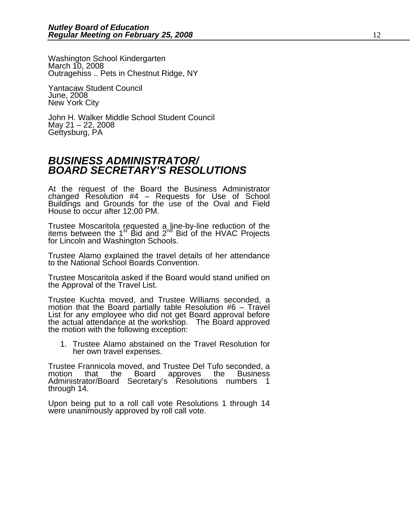Washington School Kindergarten March 10, 2008 Outragehiss .. Pets in Chestnut Ridge, NY

Yantacaw Student Council June, 2008 New York City

John H. Walker Middle School Student Council May 21 – 22, 2008 Gettysburg, PA

### *BUSINESS ADMINISTRATOR/ BOARD SECRETARY'S RESOLUTIONS*

At the request of the Board the Business Administrator changed Resolution #4 – Requests for Use of School Buildings and Grounds for the use of the Oval and Field House to occur after 12:00 PM.

Trustee Moscaritola requested a line-by-line reduction of the items between the  $1<sup>st</sup>$  Bid and  $2<sup>nd</sup>$  Bid of the HVAC Projects for Lincoln and Washington Schools.

Trustee Alamo explained the travel details of her attendance to the National School Boards Convention.

Trustee Moscaritola asked if the Board would stand unified on the Approval of the Travel List.

Trustee Kuchta moved, and Trustee Williams seconded, a motion that the Board partially table Resolution #6 – Travel List for any employee who did not get Board approval before<br>the actual attendance at the workshop. The Board approved<br>the motion with the following exception:

1. Trustee Alamo abstained on the Travel Resolution for her own travel expenses.

Trustee Frannicola moved, and Trustee Del Tufo seconded, a motion that the Board Administrator/Board Secretary's Resolutions numbers 1 through 14.

Upon being put to a roll call vote Resolutions 1 through 14 were unanimously approved by roll call vote.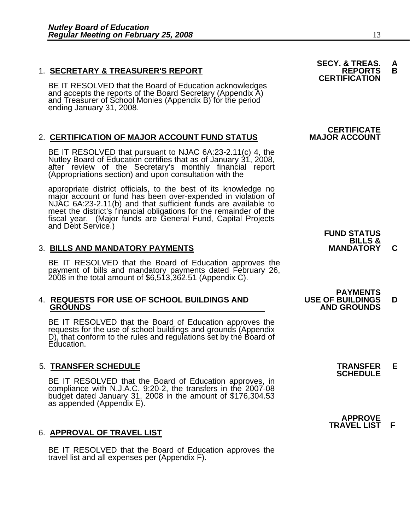1. **SECRETARY & TREASURER'S REPORT**<br>**CERTIFICATION**<br>BE IT RESOLVED that the Board of Education acknowledges and accepts the reports of the Board Secretary (Appendix A) and Treasurer of School Monies (Appendix B) for the period ending January 31, 2008.

### 2. **CERTIFICATION OF MAJOR ACCOUNT FUND STATUS**

BE IT RESOLVED that pursuant to NJAC 6A:23-2.11(c) 4, the Nutley Board of Education certifies that as of January 31, 2008, after review of the Secretary's monthly financial report (Appropriations section) and upon consulta

appropriate district officials, to the best of its knowledge no major account or fund has been over-expended in violation of NJAC 6A:23-2.11(b) and that sufficient funds are available to meet the district's financial obligations for the remainder of the fiscal year. (Major funds are General Fund, Capital Projects and Debt Service.) **FUND STATUS** 

#### 3. **BILLS AND MANDATORY PAYMENTS MANDATORY C**

BE IT RESOLVED that the Board of Education approves the payment of bills and mandatory payments dated February 26, 2008 in the total amount of \$6,513,362.51 (Appendix C).

# 4. **REQUESTS FOR USE OF SCHOOL BUILDINGS AND USE OF BUILDINGS D**

BE IT RESOLVED that the Board of Education approves the requests for the use of school buildings and grounds (Appendix D), that conform to the rules and regulations set by the Board of Education.

## 5. **TRANSFER SCHEDULE TRANSFER E SCHEDULE**

BE IT RESOLVED that the Board of Education approves, in compliance with N.J.A.C. 9:20-2, the transfers in the 2007-08 budget dated January 31, 2008 in the amount of \$176,304.53<br>as appended (Appendix E).

#### 6. **APPROVAL OF TRAVEL LIST**

BE IT RESOLVED that the Board of Education approves the travel list and all expenses per (Appendix F).

**SECY. & TREAS. A<br>REPORTS B** 

# **CERTIFICATE**<br>MAJOR ACCOUNT



### **PAYMENTS<br>USE OF BUILDINGS GROUNDS AND GROUNDS**

 **APPROVE TRAVEL LIST F**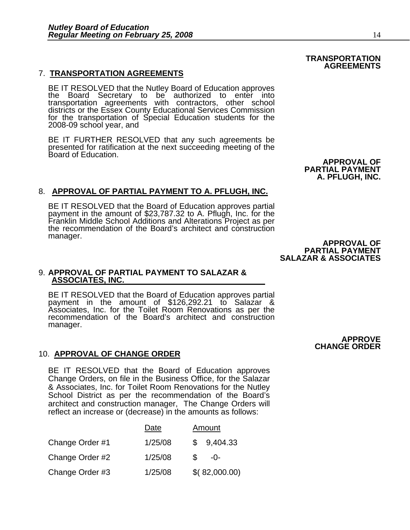#### 7. **TRANSPORTATION AGREEMENTS**

BE IT RESOLVED that the Nutley Board of Education approves<br>the Board Secretary to be authorized to enter into transportation agreements with contractors, other school districts or the Essex County Educational Services Commission for the transportation of Special Education students for the 2008-09 school year, and

BE IT FURTHER RESOLVED that any such agreements be presented for ratification at the next succeeding meeting of the Board of Education.

#### 8. **APPROVAL OF PARTIAL PAYMENT TO A. PFLUGH, INC.**

BE IT RESOLVED that the Board of Education approves partial payment in the amount of \$23,787.32 to A. Pflugh, Inc. for the Franklin Middle School Additions and Alterations Project as per<br>the recommendation of the Board's architect and construction manager.<br> **APPROVAL OF** 

#### 9. **APPROVAL OF PARTIAL PAYMENT TO SALAZAR & ASSOCIATES, INC.**

BE IT RESOLVED that the Board of Education approves partial payment in the amount of \$126,292.21 to Salazar & Associates, Inc. for the Toilet Room Renovations as per the recommendation of the Board's architect and construction manager.

#### 10. **APPROVAL OF CHANGE ORDER**

BE IT RESOLVED that the Board of Education approves Change Orders, on file in the Business Office, for the Salazar & Associates, Inc. for Toilet Room Renovations for the Nutley School District as per the recommendation of the Board's architect and construction manager, The Change Orders will reflect an increase or (decrease) in the amounts as follows:

|                 | Date    | Amount        |
|-----------------|---------|---------------|
| Change Order #1 | 1/25/08 | 9,404.33<br>S |
| Change Order #2 | 1/25/08 | $-()$ -       |
| Change Order #3 | 1/25/08 | \$(82,000.00) |

**APPROVE CHANGE ORDER** 

#### **TRANSPORTATION AGREEMENTS**

 **APPROVAL OF PARTIAL PAYMENT A. PFLUGH, INC.** 

 **PARTIAL PAYMENT SALAZAR & ASSOCIATES**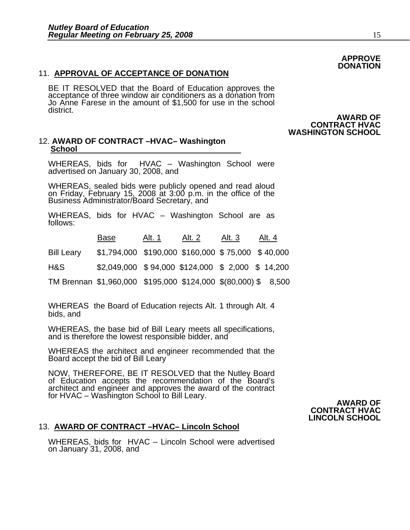#### 11. **APPROVAL OF ACCEPTANCE OF DONATION**

BE IT RESOLVED that the Board of Education approves the acceptance of three window air conditioners as a donation from Jo Anne Farese in the amount of \$1,500 for use in the school district.

#### 12. **AWARD OF CONTRACT –HVAC– Washington School**

WHEREAS, bids for HVAC – Washington School were advertised on January 30, 2008, and

WHEREAS, sealed bids were publicly opened and read aloud on Friday, February 15, 2008 at 3:00 p.m. in the office of the Business Administrator/Board Secretary, and

WHEREAS, bids for HVAC – Washington School are as follows:

 Base Alt. 1 Alt. 2 Alt. 3 Alt. 4 Bill Leary \$1,794,000 \$190,000 \$160,000 \$ 75,000 \$ 40,000 H&S \$2,049,000 \$ 94,000 \$124,000 \$ 2,000 \$ 14,200 TM Brennan \$1,960,000 \$195,000 \$124,000 \$(80,000) \$ 8,500

WHEREAS the Board of Education rejects Alt. 1 through Alt. 4 bids, and

WHEREAS, the base bid of Bill Leary meets all specifications, and is therefore the lowest responsible bidder, and

WHEREAS the architect and engineer recommended that the Board accept the bid of Bill Leary

NOW, THEREFORE, BE IT RESOLVED that the Nutley Board of Education accepts the recommendation of the Board's architect and engineer and approves the award of the contract for HVAC – Washington School to Bill Leary. **AWARD OF**

### **CONTRACT HVAC LINCOLN SCHOOL**

#### 13. **AWARD OF CONTRACT –HVAC– Lincoln School**

WHEREAS, bids for HVAC – Lincoln School were advertised on January 31, 2008, and

#### **AWARD OF CONTRACT HVAC WASHINGTON SCHOOL**

**DONATION**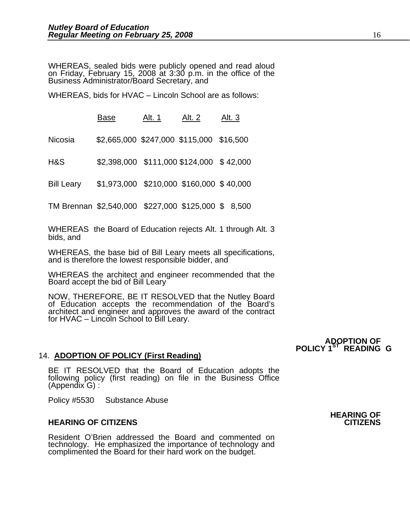WHEREAS, sealed bids were publicly opened and read aloud on Friday, February 15, 2008 at 3:30 p.m. in the office of the Business Administrator/Board Secretary, and

WHEREAS, bids for HVAC – Lincoln School are as follows:

**Base** Alt. 1 Alt. 2 Alt. 3

Nicosia \$2,665,000 \$247,000 \$115,000 \$16,500

H&S \$2,398,000 \$111,000 \$124,000 \$ 42,000

Bill Leary \$1,973,000 \$210,000 \$160,000 \$ 40,000

TM Brennan \$2,540,000 \$227,000 \$125,000 \$ 8,500

WHEREAS the Board of Education rejects Alt. 1 through Alt. 3 bids, and

WHEREAS, the base bid of Bill Leary meets all specifications, and is therefore the lowest responsible bidder, and

WHEREAS the architect and engineer recommended that the Board accept the bid of Bill Leary

NOW, THEREFORE, BE IT RESOLVED that the Nutley Board of Education accepts the recommendation of the Board's architect and engineer and approves the award of the contract for HVAC – Lincoln School to Bill Leary.

#### 14. **ADOPTION OF POLICY (First Reading)**

BE IT RESOLVED that the Board of Education adopts the following policy (first reading) on file in the Business Office (Appendix G) :

Policy #5530 Substance Abuse

#### **HEARING OF CITIZENS CITIZENS**

Resident O'Brien addressed the Board and commented on technology. He emphasized the importance of technology and complimented the Board for their hard work on the budget.

 **ADOPTION OF POLICY 1ST READING G**

**HEARING OF**